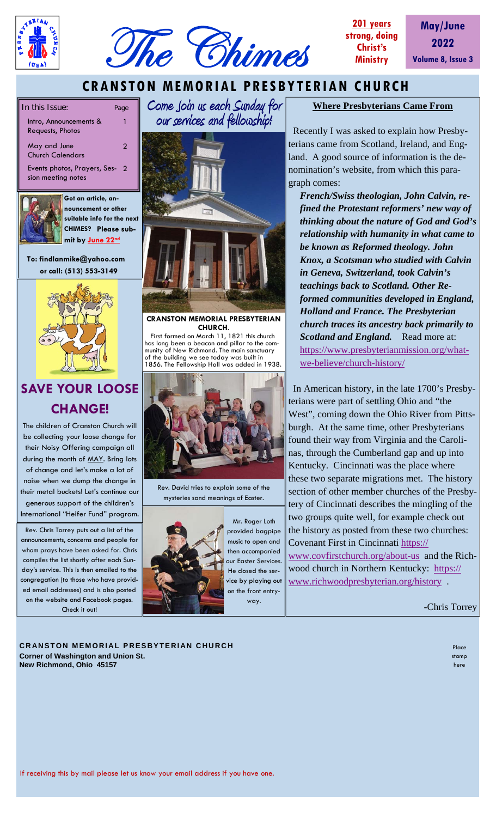



**May/June 2022 Volume 8, Issue 3**

## **CRANSTON MEMORIAL PRESBYTERIAN CHURCH**

In this Issue: Page

- Intro, Announcements & Requests, Photos
- May and June Church Calendars
- Events photos, Prayers, Ses-2 sion meeting notes



**Got an article, announcement or other suitable info for the next CHIMES? Please submit by June 22nd** 

1

2

 **To: findlanmike@yahoo.com or call: (513) 553-3149** 



# **SAVE YOUR LOOSE CHANGE!**

The children of Cranston Church will be collecting your loose change for their Noisy Offering campaign all during the month of MAY. Bring lots of change and let's make a lot of noise when we dump the change in their metal buckets! Let's continue our generous support of the children's International "Heifer Fund" program.

Rev. Chris Torrey puts out a list of the announcements, concerns and people for whom prays have been asked for. Chris compiles the list shortly after each Sunday's service. This is then emailed to the congregation (to those who have provided email addresses) and is also posted on the website and Facebook pages. Check it out!

**Come Join us each Sunday for our services and fellowship!** 



**CRANSTON MEMORIAL PRESBYTERIAN CHURCH**.

 First formed on March 11, 1821 this church has long been a beacon and pillar to the community of New Richmond. The main sanctuary of the building we see today was built in 1856. The Fellowship Hall was added in 1938.



Rev. David tries to explain some of the mysteries sand meanings of Easter.



Mr. Roger Loth provided bagpipe music to open and then accompanied our Easter Services. He closed the service by playing out on the front entryway.

### **Where Presbyterians Came From**

 Recently I was asked to explain how Presbyterians came from Scotland, Ireland, and England. A good source of information is the denomination's website, from which this paragraph comes:

*French/Swiss theologian, John Calvin, refined the Protestant reformers' new way of thinking about the nature of God and God's relationship with humanity in what came to be known as Reformed theology. John Knox, a Scotsman who studied with Calvin in Geneva, Switzerland, took Calvin's teachings back to Scotland. Other Reformed communities developed in England, Holland and France. The Presbyterian church traces its ancestry back primarily to Scotland and England.* Read more at: https://www.presbyterianmission.org/whatwe-believe/church-history/

 In American history, in the late 1700's Presbyterians were part of settling Ohio and "the West", coming down the Ohio River from Pittsburgh. At the same time, other Presbyterians found their way from Virginia and the Carolinas, through the Cumberland gap and up into Kentucky. Cincinnati was the place where these two separate migrations met. The history section of other member churches of the Presbytery of Cincinnati describes the mingling of the two groups quite well, for example check out the history as posted from these two churches: Covenant First in Cincinnati https://

www.covfirstchurch.org/about-us and the Richwood church in Northern Kentucky: https:// www.richwoodpresbyterian.org/history .

-Chris Torrey

**CRANSTON MEMORIAL PRESBYTERIAN CHURCH Corner of Washington and Union St. New Richmond, Ohio 45157** 

Place stamp here